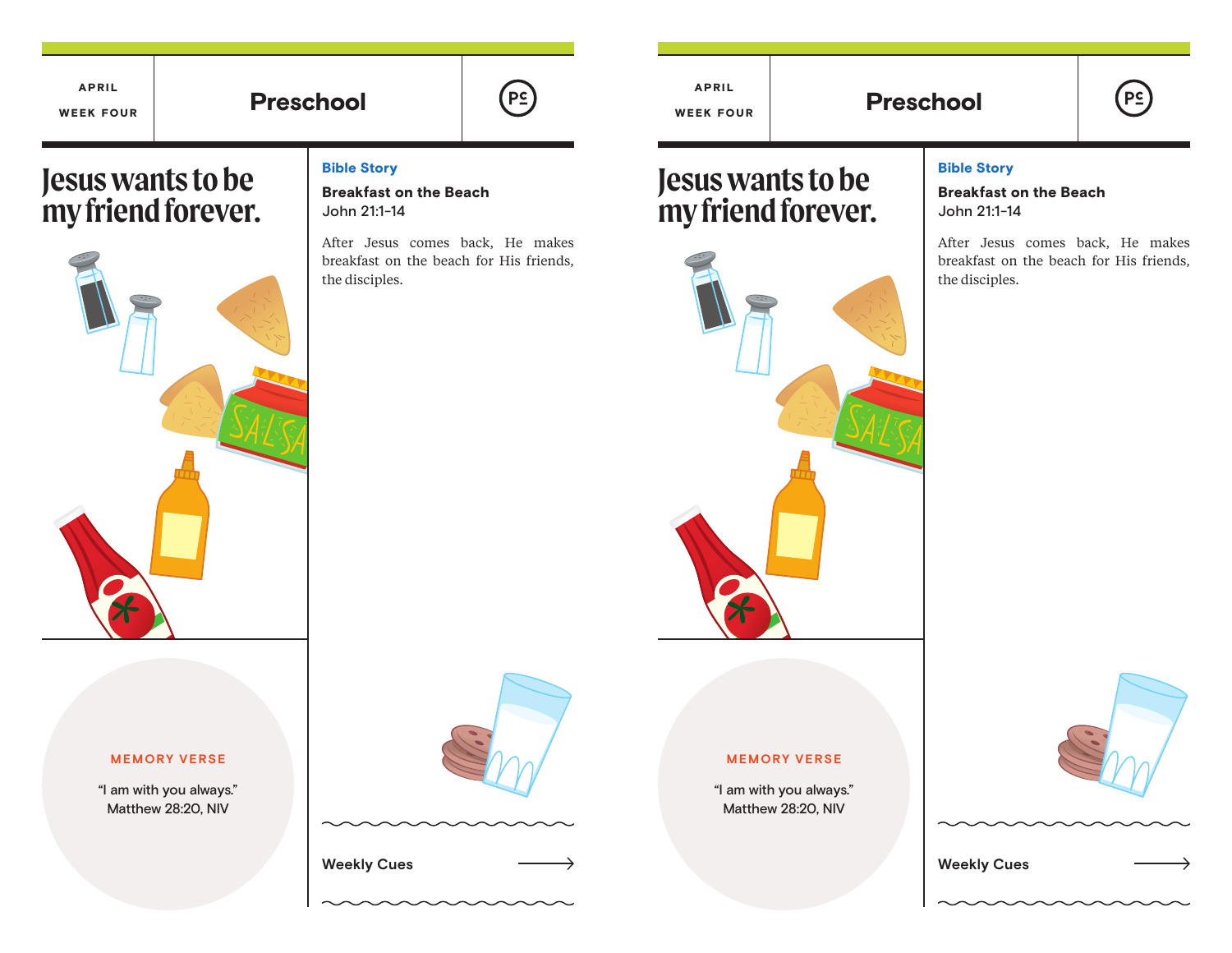## **Preschool**  $\left|\begin{array}{ccc} \left(\mathsf{P}_{\mathsf{E}}\right) & \mathsf{P}_{\mathsf{E}}\end{array}\right|$  **arriting the preschool**  $\left|\begin{array}{ccc} \left(\mathsf{P}_{\mathsf{E}}\right) & \mathsf{P}_{\mathsf{E}}\end{array}\right|$  **arriting the preschool**



APRIL

## **Jesus wants to be FIGURE FOR THE START START SERVIS WANTS TO be and SHOW THE BEAK FAILURE START SERVIS WAS SERVIS WANTS TO be and MY friend forever.**

APRIL WEEK FOUR



#### Bible Story

Breakfast on the Beach John 21:1-14

After Jesus comes back, He makes breakfast on the beach for His friends, the disciples.

# **my friend forever.**



#### Bible Story

Breakfast on the Beach John 21:1-14

After Jesus comes back, He makes breakfast on the beach for His friends, the disciples.

 $P<sub>2</sub>$ 

#### **MEMORY VERSE**

"I am with you always." Matthew 28:20, NIV



#### **MEMORY VERSE**

"I am with you always." Matthew 28:20, NIV